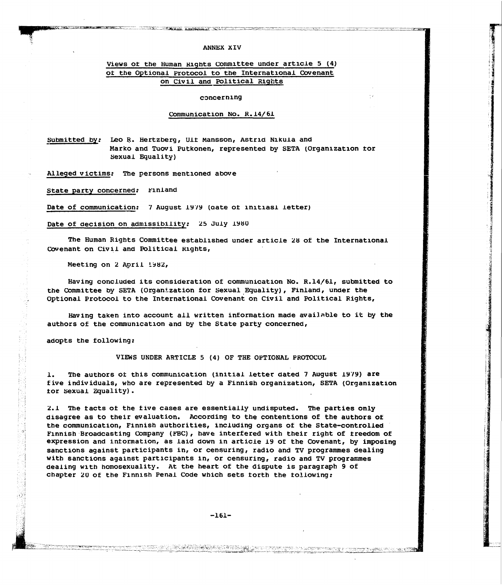### ANNEX XIV

# Views of the Human Rights Committee under article 5 (4) ot the Optional Protocol to the International Covenant on Civil and Political Rights

### concerning

## Communication No. R.l4/6l

Submitted by: Leo R. Hertzberg, Ult Mansson, Astrid Nikula and Marko and Tuovi Putkonen, represented by SETA (Organlzatlon tor sexual Equality)

Alleged victims: The persons mentloned above

State party concerned: Finland

Date of communication: 7 August 1979 (cate ot initiasi letter)

Date of decision on admissibility: 25 July 1980

The Human Rights Committee established under article 28 of the International Covenant on Civil and Political Rights,

Meeting on 2 April 1982,

Having concluded its consideration of communication No. R.14/61, submitted to the COmmittee by SETA (Organization for sexual.Equality), Finland, under the optional Protocol to the International Covenant on Civil and Political Rights,

Having taken into account all written information made available to it by the authors of the communicatlon and by the State party concerned,

adopts the following:

VIEWS UNDER ARTICLE 5 (4) OF THE OPTIONAL PROTOCOL

1. The authors of this communication (initial letter dated 7 August 1979) are five individuals, who are represented by a Finnish organization, SETA (Organization tor Sexual Equality).

*2.l* The tacts ot the tive cases are essentially undisputed. The parties only disagree as to their evaluation. According to the contentions of the authors ot the communication, Finnish authorities, including organs ot the State-controlled Flnnish'Broadcasting company (FBC), have interfered with their right of treedom of expression and intormation, as laid down in article 19 of the Covenant, by imposing sanctions against participants in, or censuring, radio and TV programmes dealing With sanctions against participants in, or censuring, radio and TV programmes dealing With homosexuality. At the heart of the dispute is paragraph <sup>9</sup> of Chapter 20 of the Flnnlsh Penal COde which sets torth the tollowing: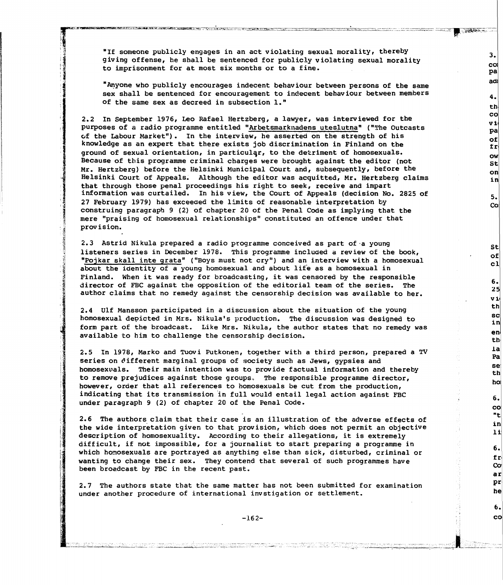"If someone publicly engages in an act violating sexual morality, thereby giving offense, he shall be sentenced for publicly violating sexual morality to imprisonment for at most six months or to a fine.

"Anyone who publicly encourages indecent behaviour between persons of the same sex shall be sentenced for encouragement to indecent behaviour between members of the same sex as decreed in subsection 1."

2.2 In September 1976, Leo Rafael Hertzberg, a lawyer, was interviewed for the purposes of a radio programme entitled "Arbetsmarknadens uteslutna" ("The Outcasts of the Labour Market"). In the interview, he asserted on the strength of his knowledge as an expert that there exists job discrimination in Finland on the ground of sexual orientation, in particular, to the detriment of homosexuals. Because of tbis programme criminal charges were brought against the editor (not Mr. Hertzberg) before the Helsinki Municipal court and, subsequently, before the Helsinki Court of Appeals. Although the editor was acquitted, Mr. Hertzberg claims that through those penal proceedings his right to seek, receive and impart information was curtailed. In his view, the Court of Appeals (decision No. 2825 of 27 February 1979) has exceeded the limits of reasonable interpretation by construing paragraph <sup>9</sup> (2) of chapter 20 of the Penal Code as implying that the mere "praising of homosexual relationships" constituted an offence under that prov ision.

2.3 Astrid Nikula prepared a radio programme conceived as part of'a young listeners series in December 1978. This programme included a review of the book, "Pojkar skall inte grata" ("Boys must not cry") and an interview with a homosexual about the identity of <sup>a</sup> young homosexual and about life as <sup>a</sup> homosexual in Finland. When it was ready for broadcasting, it was censored by the responsible<br>director of FBC against the opposition of the editorial team of the series. The director of FBC against the opposition of the editorial team of the series. author claims that no remedy against the censorship decision was available to her.

2.4 Ulf Mansson participated in a discussion about the situation of the young homosexual depicted in Mrs. Nikula's production. The discussion was designed to form part of the broadcast. Like Mrs. Nikula, the author states that no remedy was available to him to challenge the censorship decision.

2.5 In 1978, Marko and Tuovi Putkonen, together with a third person, prepared a TV series on different marginal groups of society such as Jews, gypsies and homosexuals. Their main intention was to provide factual information and thereby to remove prejudices against those groups. The responsible programme director, however, order that all references to homosexuals be cut from the production, indicating that its transmission 'in full WQu1d entail legal action against FBC under paragraph 9 (2) of chapter 20 of the Penal Code.

2.6 The authors claim that their case is an illustration of the adverse effects of the wide interpretation given to that provision, which does not permit an objective description of homosexuality. According to their allegations, it is extremely difficult, if not impossible, for <sup>a</sup> journalist to start preparing <sup>a</sup> programme in which homosexuals are portrayed as anything else than sick, disturbed, criminal or wanting to change their sex. They contend that several of such programmes have been broadcast by FEC in the recent past.

2.7 The authors state that the same matter has not been submitted for examination under another procedure of international invstigation or settlement.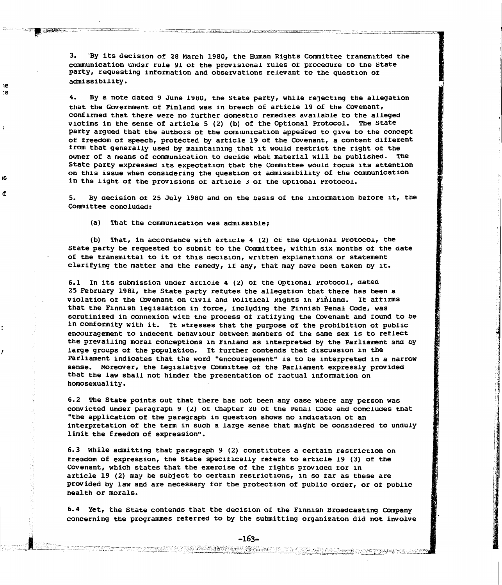з. By its decision of 28 March 1980, the Human Rights Committee transmitted the communication under rule 91 of the provisional rules of procedure to the State party, requesting information and observations relevant to the question of admissibility.

4. By a note dated 9 June 1980, the State party, while rejecting the allegation that the Government of Finland was in breach of article 19 of the Covenant, confirmed that there were no further domestic remedies available to the alleged victims in the sense of article 5 (2) (b) of the Optional Protocol. The State party argued that the authors of the communication appeared to give to the concept of freedom of speech, protected by article 19 of the Covenant, a content different from that generally used by maintaining that it would restrict the right of the owner of a means of communication to decide what material will be published. The State party expressed its expectation that the Committee would focus its attention on this issue when considering the question of admissibility of the communication in the light of the provisions of article 3 of the Optional Protocol.

By decision of 25 July 1980 and on the basis of the information before it, the 5. Committee concluded:

 $(a)$ That the communication was admissible;

That, in accordance with article 4 (2) of the Optional Protocol, the  $(b)$ State party be requested to submit to the Committee, within six months of the date of the transmittal to it of this decision, written explanations or statement clarifying the matter and the remedy, if any, that may have been taken by it.

6.1 In its submission under article 4 (2) of the Optional Protocol, dated 25 February 1981, the State party refutes the allegation that there has been a violation of the Covenant on Civil and Political Rights in Finland. It attirms that the Finnish legislation in force, including the Finnish Penal Code, was scrutinized in connexion with the process of ratitying the Covenant and found to be in conformity with it. It stresses that the purpose of the prohibition of public encouragement to indecent behaviour between members of the same sex is to reflect the prevailing moral conceptions in Finland as interpreted by the Parliament and by large groups of the population. It further contends that discussion in the Parliament indicates that the word "encouragement" is to be interpreted in a narrow Moreover, the Legislative Committee of the Parliament expressly provided sense. that the law shall not hinder the presentation of factual information on homosexuality.

6.2 The State points out that there has not been any case where any person was convicted under paragraph 9 (2) ot Chapter 20 of the Penal Code and concludes that "the application of the paragraph in question shows no indication of an interpretation of the term in such a large sense that might be considered to unduly limit the freedom of expression".

6.3 While admitting that paragraph 9 (2) constitutes a certain restriction on freedom of expression, the State specifically reters to article 19 (3) of the Covenant, which states that the exercise of the rights provided for in article 19 (2) may be subject to certain restrictions, in so far as these are provided by law and are necessary for the protection of public order, or of public health or morals.

6.4 Yet, the State contends that the decision of the Finnish Broadcasting Company concerning the programmes referred to by the submitting organizaton did not involve

TELEVISION DISPOSITIVE EN L'ÉGATION DE L'AUTORITÉ DE L'AUTORITÉ DE L'AUTORITÉ DE L'AUTORITE L'AUTORIT (AUTORI<br>DE L'AUTORIT DE L'AUTORITION DE L'AUTORITION DE L'AUTORITION DE L'AUTORITION DE L'AUTORIT (AUTORITION DE L'AUT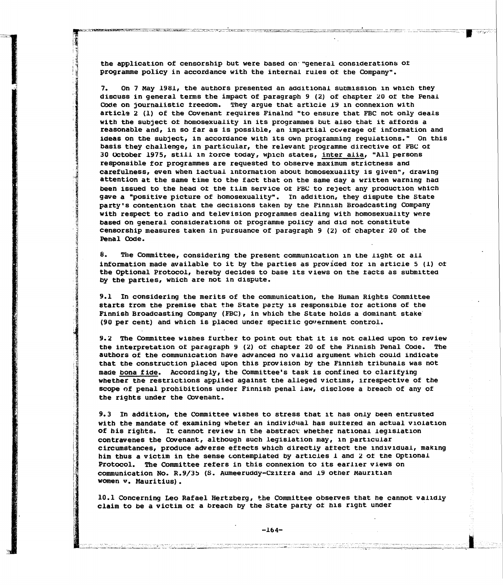the application of censorship but were based on "general considerations of programme policy in accordance with the internal rules of the COmpany".

7. On 7 May 1981, the authors presented an additional submission in which they discuss in general terms the impact of paragraph 9 (2) of chapter 20 of the Penal Code on journalistic freedom. They argue that article 19 1n connexion with article 2 (1) of the Covenant requires Finalnd "to ensure that FBC not only deals With the subject ot homosexuality in its programmes but also that it affords <sup>a</sup> reasonable and, in so far as is possible, an impartial coverage of information and ideas on the subject, in accordance with its own programming regulations." On this basis they challenge, in particular, the relevant programme directive of FBC of <sup>30</sup> october 1975, still 1n torce today, Wp1ch states, inter alia, "All persons responsible for programmes are requested to observe maximum strictness and carefulness, even when tactual intormation about homosexuality is given", drawing attention at the same time to the fact that on the same day a written warning had been issued to the head of the film service of FBC to reject any production which gave a "positive picture of homosexuality". In addition, they dispute the State party's contention that the decisions taken by the Finnish Broadcasting Company with respect to radio and television programmes dealing with homosexuality were based on general considerations ot programme policy and d1d not constitute censorship measures taken in pursuance of paragraph 9 (2) of chapter 20 of the Penal Code.

*B.* The Committee, considering the present communication 1n the light ot *all* information made available to it by the parties as provided for in article 5 (1) of the Optional Protocol, hereby decides to base its views on the facts as submitted by the parties, which are not in dispute.

9.1 In considering the merits of the communication, the Human Rights Committee starts from the premise that the State party is responsible tor actions of the Finnish Broadcasting Company (FBC), in which the State holds a dominant stake" (90 per cent) and which is placed under specific government control.

9.2 The Committee wishes further to point out that it is not called upon to review the interpretation of paragraph <sup>9</sup> (2) of chapter <sup>20</sup> of the Finnish Penal Code. The authors of the communication have adVanced no valid argument which could indicate that the construction placed upon this provision by the Finnish tribunals was not made bona fide. Accordingly, the Committee's task is confined to clarifying whether the restrictions applied against the alleged victims, irrespective of the scope of penal prohibitions under Finnish penal law, disclose a breach of any of the rights under the Covenant.

9.3 In addition, the Committee wishes to stress that 1t has only been entrusted with the mandate of examining wheter an individual has suffered an actual violation of his rights. It cannot review in the abstract whether nat10nal leg1s1at1on contravenes the Covenant, although such legislation may, in particular circumstances, produce adverse effects which directly affect the individual, making him thus a victim in the sense contemplated by articles 1 and 2 of the Optional Protocol. The Committee refers in this connexion to its earlier views on communication No. R.9/35 (S. Aumeeruddy-Cziffra and 19 other Mauritian women v. Mauritius).

10.1 Concerning Leo Rafael Hertzberg, the Committee observes that he cannot validly claim to be a victim Of a breach by the State party ot h1S r1ght under

كالرافث كالرداع والموجود بالرماحيل بالمداعيين ويتبع والمرتجع ومعرضين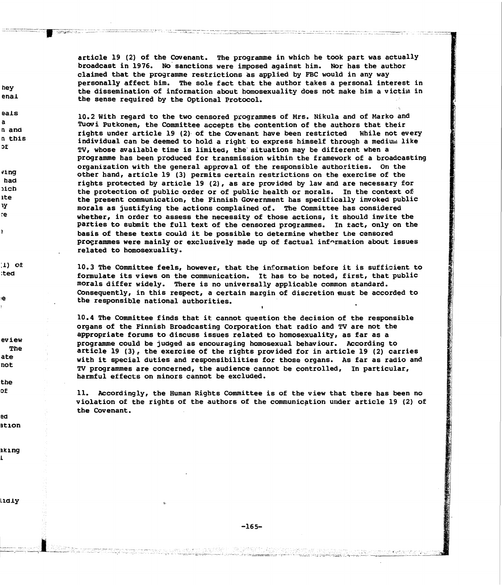article 19 (2) of the Covenant. The programme in which he took part was actually broadcast in 1976. No' sanctions were imposed against him. Nor has the author claimed that the programme restrictions as applied by FBC would in any way personally affect him. The sole fact that the author takes a personal interest in the dissemination of information about homosexuality does not make him a victim in the sense required by the Optional Protocol.

10.2 With regard to the two censored programmes of Mrs. Nikula and of Marko and Tuovi Putkonen, the Committee accepts the contention of the authors that their rights under article  $19$  (2) of the Covenant have been restricted individual can be deemed to hold a right to express himself through a medium like TV, whose available time is limited, the' situation may be different when a programme has been produced for transmission within the framework of a broadcasting organization with the general approval of the responsible authorities. On the other hand, article 19 (3) permits certain restrictions on the exercise of the rights protected by article 19 (2), as are provided by law and are necessary for the protection of public order or of public health or morals. In the context of the present communication, the Finnish Government has specifically invoked public morals as justifying the actions complained of. The Committee has considered whether, in order to assess the necessity of those actions, it should invite the parties to submit the full text of the censored programmes. In tact, only on the basis of these texts could it be possible to determine whether the censored programmes were mainly or exclusively made up of factual information about issues related to homosexuality.

10.3 The Committee feels, however, that the information before it is sufficient to formulate its views on the communication. It has to be noted, first, that public morals differ widely. There is no universally applicable common standard. Consequently, in this respect, a certain margin of discretion must be accorded to the responsible national authorities.

10.4 The Committee finds that it cannot question the decision of the responsible organs of the Finnish Broadcasting Corporation that radio and TV are not the appropriate forums to discuss issues related to homosexuality, as far as a programme could be jUdged as encouraging homosexual behaviour. According to article 19 (3), the exercise of the rights provided for in article 19 (2) carries with it special duties and responsibilities for those organs. As far as radio and TV programmes are concerned, the audience cannot be controlled, In particular, harmful effects on minors cannot be excluded.

11. Accordingly, the Human Rights Committee is of the view that there has been no violation of the rights of the authors of the communication under article 19 (2) of the Covenant.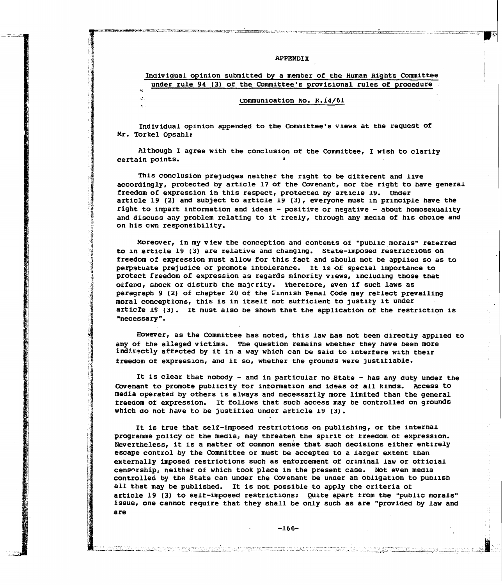#### APPENDIX

=,~=,=,=:=="<' , ';"":':~......4-....:.'

|        |                           |  |  |  |  |  |  |  |  |  |  |  |  |                                                                      | Individual opinion submitted by a member of the Human Right's Committee |  |
|--------|---------------------------|--|--|--|--|--|--|--|--|--|--|--|--|----------------------------------------------------------------------|-------------------------------------------------------------------------|--|
|        |                           |  |  |  |  |  |  |  |  |  |  |  |  | under rule 94 (3) of the Committee's provisional rules of procedure. |                                                                         |  |
| cь.    |                           |  |  |  |  |  |  |  |  |  |  |  |  |                                                                      |                                                                         |  |
| المائي | Communication No. R.14/61 |  |  |  |  |  |  |  |  |  |  |  |  |                                                                      |                                                                         |  |
| 草本     |                           |  |  |  |  |  |  |  |  |  |  |  |  |                                                                      |                                                                         |  |

Individual opinion appended to the Committee's views at the request of Mr. Torkel Opsahl:

Although I agree with the conclusion of the Committee, I wish to clarify certain points.

This conclusion prejudges neither the right to be different and live accordingly, protected by article 17 of the COVenant, nor the right to have general freedom of expression in this respect, protected by art1cle *19.* Under article 19 (2) and subject to article 19 (3), everyone must in principle have the right to impart information and ideas - positive or negative - about homosexuality and discuss any problem relating to it treely, through any media of his choice and on his own responsibility.

Moreover, in my view the conception and contents of "public morals" reterred to in article 19 (3) are relative and changing. State-imposed restrictions on freedom of expression must allow for this fact and shouid not be applied so as to perpetuate prejudice or promote intolerance. It is of special importance to protect freedom of expression as regards minority views, including those that offend, shock or disturb the majcrity. Therefore, even if such laws as paragraph 9 (2) of chapter 20 of the Finnish Penal Code may reflect prevailing moral conceptions, this is in itself not sufficient to justify it under article  $19$  (3). It must also be shown that the application of the restriction is "necessary" •

However, as the Committee has noted, this law has not been directly applied to any of the alleged victims. The question remains whether they have been more indirectly affected by it in a way which can be said to interfere with their freedom of expression, and it so, whether the grounds were justifiable.

It is clear that nobody - and in particular no State - has any duty under the Covenant to promote publicity for intormation and ideas of all kinds. Access to media operated by others is always and necessarily more limited than the general freedom of expression. It follows that such access may be controlled on grounds which do not have to be justified under article  $19$  (3).

It is true that self-imposed restrictions on publishing, or the internal programme policy of the media, may threaten the spirit of freedom of expression. Nevertheless, it is <sup>a</sup> matter of common sense that such decisions either entirely escape control by the Committee or must be accepted to a larger extent than externally imposed restrictions such as enforcement of criminal law or otficial censorship, neither of which took place in the present case. Not even media controlled by the State can under the Covenant be under an obligation to publish all that may be published. It is not possible to apply the criteria ot article 19 (3) to selt-imposed restrictions: Quite apart trom the "pub11C morals" issue, one cannot require that they shall be only such as are "provided by law and are